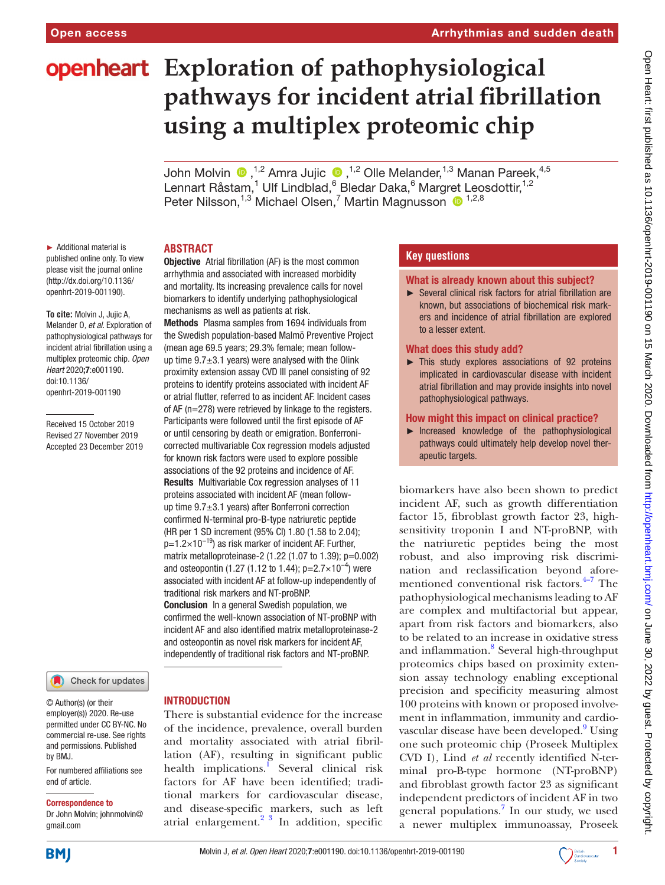# **openheart** Exploration of pathophysiological **pathways for incident atrial fibrillation using a multiplex proteomic chip**

JohnMolvin  $\bigcirc$ , <sup>1,2</sup> Amra Jujic  $\bigcirc$ , <sup>1,2</sup> Olle Melander, <sup>1,3</sup> Manan Pareek, <sup>4,5</sup> Lennart Råstam,<sup>1</sup> Ulf Lindblad,<sup>6</sup> Bledar Daka,<sup>6</sup> Margret Leosdottir,<sup>1,2</sup> Peter Nilsson,<sup>1,3</sup> Michael Olsen,<sup>7</sup> Martin Magnusson <sup>1,2,8</sup>

## **Abstract**

► Additional material is published online only. To view please visit the journal online (http://dx.doi.org/10.1136/ openhrt-2019-001190).

**To cite:** Molvin J, Jujic A, Melander O*, et al*. Exploration of pathophysiological pathways for incident atrial fibrillation using a multiplex proteomic chip*. Open Heart* 2020;7:e001190. doi:10.1136/ openhrt-2019-001190

Received 15 October 2019 Revised 27 November 2019 Accepted 23 December 2019

#### Check for updates

© Author(s) (or their employer(s)) 2020. Re-use permitted under CC BY-NC. No commercial re-use. See rights and permissions. Published by BMJ.

For numbered affiliations see end of article.

#### Correspondence to

Dr John Molvin; johnmolvin@ gmail.com

Objective Atrial fibrillation (AF) is the most common arrhythmia and associated with increased morbidity and mortality. Its increasing prevalence calls for novel biomarkers to identify underlying pathophysiological mechanisms as well as patients at risk.

Methods Plasma samples from 1694 individuals from the Swedish population-based Malmö Preventive Project (mean age 69.5 years; 29.3% female; mean followup time  $9.7\pm3.1$  years) were analysed with the Olink proximity extension assay CVD III panel consisting of 92 proteins to identify proteins associated with incident AF or atrial flutter, referred to as incident AF. Incident cases of AF (n=278) were retrieved by linkage to the registers. Participants were followed until the first episode of AF or until censoring by death or emigration. Bonferronicorrected multivariable Cox regression models adjusted for known risk factors were used to explore possible associations of the 92 proteins and incidence of AF. Results Multivariable Cox regression analyses of 11 proteins associated with incident AF (mean followup time 9.7±3.1 years) after Bonferroni correction confirmed N-terminal pro-B-type natriuretic peptide (HR per 1 SD increment (95% CI) 1.80 (1.58 to 2.04);  $p=1.2\times10^{-19}$ ) as risk marker of incident AF. Further, matrix metalloproteinase-2 (1.22 (1.07 to 1.39); p=0.002) and osteopontin (1.27 (1.12 to 1.44); p=2.7×10<sup>-4</sup>) were associated with incident AF at follow-up independently of traditional risk markers and NT-proBNP. Conclusion In a general Swedish population, we confirmed the well-known association of NT-proBNP with incident AF and also identified matrix metalloproteinase-2 and osteopontin as novel risk markers for incident AF, independently of traditional risk factors and NT-proBNP.

#### **INTRODUCTION**

There is substantial evidence for the increase of the incidence, prevalence, overall burden and mortality associated with atrial fibrillation (AF), resulting in significant public health implications.<sup>I</sup> Several clinical risk factors for AF have been identified; traditional markers for cardiovascular disease, and disease-specific markers, such as left atrial enlargement. $2^3$  In addition, specific

# **Key questions**

#### What is already known about this subject?

► Several clinical risk factors for atrial fibrillation are known, but associations of biochemical risk markers and incidence of atrial fibrillation are explored to a lesser extent.

#### What does this study add?

► This study explores associations of 92 proteins implicated in cardiovascular disease with incident atrial fibrillation and may provide insights into novel pathophysiological pathways.

#### How might this impact on clinical practice?

► Increased knowledge of the pathophysiological pathways could ultimately help develop novel therapeutic targets.

biomarkers have also been shown to predict incident AF, such as growth differentiation factor 15, fibroblast growth factor 23, highsensitivity troponin I and NT-proBNP, with the natriuretic peptides being the most robust, and also improving risk discrimination and reclassification beyond aforementioned conventional risk factors. $4-7$  The pathophysiological mechanisms leading to AF are complex and multifactorial but appear, apart from risk factors and biomarkers, also to be related to an increase in oxidative stress and inflammation.<sup>[8](#page-6-3)</sup> Several high-throughput proteomics chips based on proximity extension assay technology enabling exceptional precision and specificity measuring almost 100 proteins with known or proposed involvement in inflammation, immunity and cardiovascular disease have been developed.<sup>9</sup> Using one such proteomic chip (Proseek Multiplex CVD I), Lind *et al* recently identified N-terminal pro-B-type hormone (NT-proBNP) and fibroblast growth factor 23 as significant independent predictors of incident AF in two general populations.<sup>[7](#page-6-5)</sup> In our study, we used a newer multiplex immunoassay, Proseek

**BMJ** 

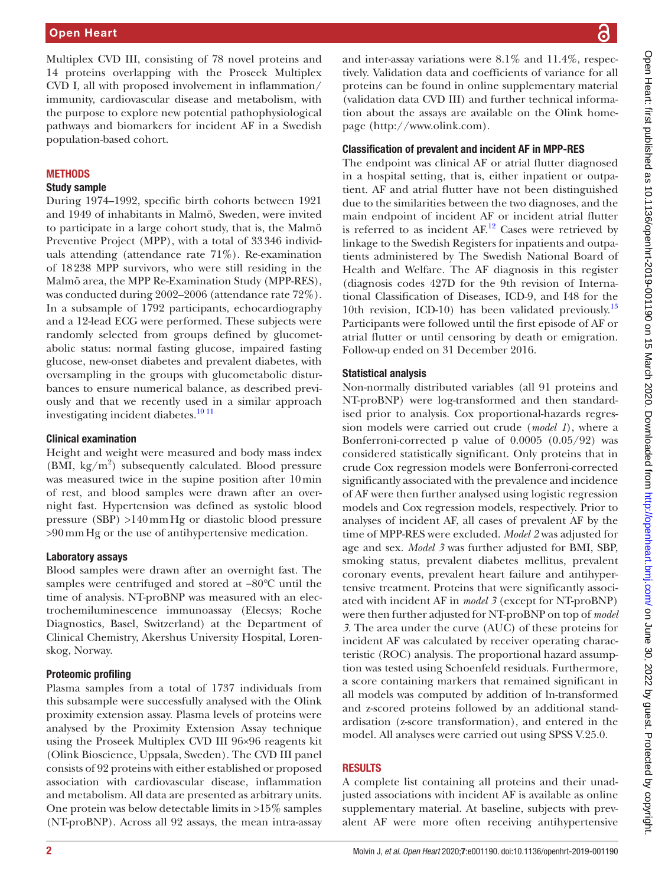Multiplex CVD III, consisting of 78 novel proteins and 14 proteins overlapping with the Proseek Multiplex CVD I, all with proposed involvement in inflammation/ immunity, cardiovascular disease and metabolism, with the purpose to explore new potential pathophysiological pathways and biomarkers for incident AF in a Swedish population-based cohort.

## **METHODS**

#### Study sample

During 1974–1992, specific birth cohorts between 1921 and 1949 of inhabitants in Malmö, Sweden, were invited to participate in a large cohort study, that is, the Malmö Preventive Project (MPP), with a total of 33346 individuals attending (attendance rate 71%). Re-examination of 18238 MPP survivors, who were still residing in the Malmö area, the MPP Re-Examination Study (MPP-RES), was conducted during 2002–2006 (attendance rate 72%). In a subsample of 1792 participants, echocardiography and a 12-lead ECG were performed. These subjects were randomly selected from groups defined by glucometabolic status: normal fasting glucose, impaired fasting glucose, new-onset diabetes and prevalent diabetes, with oversampling in the groups with glucometabolic disturbances to ensure numerical balance, as described previously and that we recently used in a similar approach investigating incident diabetes.<sup>10 11</sup>

## Clinical examination

Height and weight were measured and body mass index (BMI,  $\text{kg/m}^2$ ) subsequently calculated. Blood pressure was measured twice in the supine position after 10min of rest, and blood samples were drawn after an overnight fast. Hypertension was defined as systolic blood pressure (SBP) >140mmHg or diastolic blood pressure >90mmHg or the use of antihypertensive medication.

## Laboratory assays

Blood samples were drawn after an overnight fast. The samples were centrifuged and stored at −80℃ until the time of analysis. NT-proBNP was measured with an electrochemiluminescence immunoassay (Elecsys; Roche Diagnostics, Basel, Switzerland) at the Department of Clinical Chemistry, Akershus University Hospital, Lorenskog, Norway.

# Proteomic profiling

Plasma samples from a total of 1737 individuals from this subsample were successfully analysed with the Olink proximity extension assay. Plasma levels of proteins were analysed by the Proximity Extension Assay technique using the Proseek Multiplex CVD III 96×96 reagents kit (Olink Bioscience, Uppsala, Sweden). The CVD III panel consists of 92 proteins with either established or proposed association with cardiovascular disease, inflammation and metabolism. All data are presented as arbitrary units. One protein was below detectable limits in >15% samples (NT-proBNP). Across all 92 assays, the mean intra-assay

and inter-assay variations were 8.1% and 11.4%, respectively. Validation data and coefficients of variance for all proteins can be found in [online supplementary material](https://dx.doi.org/10.1136/openhrt-2019-001190)  (validation data CVD III) and further technical information about the assays are available on the Olink homepage (<http://www.olink.com>).

## Classification of prevalent and incident AF in MPP-RES

The endpoint was clinical AF or atrial flutter diagnosed in a hospital setting, that is, either inpatient or outpatient. AF and atrial flutter have not been distinguished due to the similarities between the two diagnoses, and the main endpoint of incident AF or incident atrial flutter is referred to as incident  $AF$ .<sup>12</sup> Cases were retrieved by linkage to the Swedish Registers for inpatients and outpatients administered by The Swedish National Board of Health and Welfare. The AF diagnosis in this register (diagnosis codes 427D for the 9th revision of International Classification of Diseases, ICD-9, and I48 for the 10th revision, ICD-10) has been validated previously.<sup>[13](#page-6-8)</sup> Participants were followed until the first episode of AF or atrial flutter or until censoring by death or emigration. Follow-up ended on 31 December 2016.

## Statistical analysis

Non-normally distributed variables (all 91 proteins and NT-proBNP) were log-transformed and then standardised prior to analysis. Cox proportional-hazards regression models were carried out crude (*model 1*), where a Bonferroni-corrected p value of 0.0005 (0.05/92) was considered statistically significant. Only proteins that in crude Cox regression models were Bonferroni-corrected significantly associated with the prevalence and incidence of AF were then further analysed using logistic regression models and Cox regression models, respectively. Prior to analyses of incident AF, all cases of prevalent AF by the time of MPP-RES were excluded. *Model 2* was adjusted for age and sex. *Model 3* was further adjusted for BMI, SBP, smoking status, prevalent diabetes mellitus, prevalent coronary events, prevalent heart failure and antihypertensive treatment. Proteins that were significantly associated with incident AF in *model 3* (except for NT-proBNP) were then further adjusted for NT-proBNP on top of *model 3*. The area under the curve (AUC) of these proteins for incident AF was calculated by receiver operating characteristic (ROC) analysis. The proportional hazard assumption was tested using Schoenfeld residuals. Furthermore, a score containing markers that remained significant in all models was computed by addition of ln-transformed and z-scored proteins followed by an additional standardisation (z-score transformation), and entered in the model. All analyses were carried out using SPSS V.25.0.

## **RESULTS**

A complete list containing all proteins and their unadjusted associations with incident AF is available as [online](https://dx.doi.org/10.1136/openhrt-2019-001190)  [supplementary material](https://dx.doi.org/10.1136/openhrt-2019-001190). At baseline, subjects with prevalent AF were more often receiving antihypertensive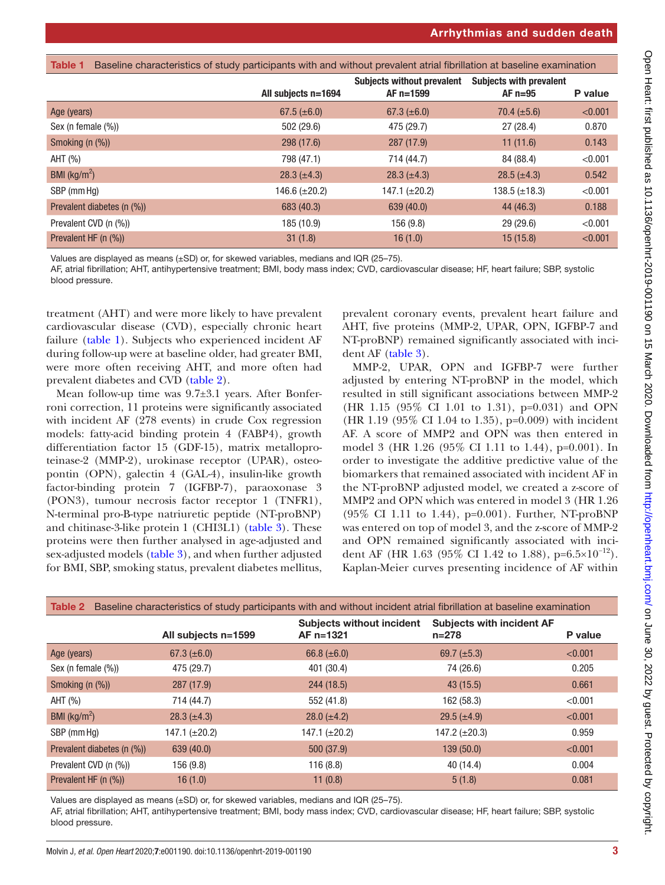<span id="page-2-0"></span>

| Baseline characteristics of study participants with and without prevalent atrial fibrillation at baseline examination<br>Table 1 |                     |                                                  |                                             |         |  |
|----------------------------------------------------------------------------------------------------------------------------------|---------------------|--------------------------------------------------|---------------------------------------------|---------|--|
|                                                                                                                                  | All subjects n=1694 | <b>Subjects without prevalent</b><br>$AF n=1599$ | <b>Subjects with prevalent</b><br>$AF n=95$ | P value |  |
| Age (years)                                                                                                                      | 67.5 $(\pm 6.0)$    | 67.3 $(\pm 6.0)$                                 | 70.4 $(\pm 5.6)$                            | < 0.001 |  |
| Sex (n female $(\%)$ )                                                                                                           | 502 (29.6)          | 475 (29.7)                                       | 27(28.4)                                    | 0.870   |  |
| Smoking $(n \, (%)$                                                                                                              | 298(17.6)           | 287(17.9)                                        | 11(11.6)                                    | 0.143   |  |
| AHT (%)                                                                                                                          | 798 (47.1)          | 714 (44.7)                                       | 84 (88.4)                                   | < 0.001 |  |
| BMI ( $\text{kg/m}^2$ )                                                                                                          | $28.3 (\pm 4.3)$    | $28.3 (\pm 4.3)$                                 | 28.5 $(\pm 4.3)$                            | 0.542   |  |
| SBP (mm Hq)                                                                                                                      | 146.6 $(\pm 20.2)$  | 147.1 $(\pm 20.2)$                               | 138.5 $(\pm 18.3)$                          | < 0.001 |  |
| Prevalent diabetes (n (%))                                                                                                       | 683 (40.3)          | 639(40.0)                                        | 44 (46.3)                                   | 0.188   |  |
| Prevalent CVD (n (%))                                                                                                            | 185 (10.9)          | 156 (9.8)                                        | 29 (29.6)                                   | < 0.001 |  |
| Prevalent HF (n (%))                                                                                                             | 31(1.8)             | 16(1.0)                                          | 15(15.8)                                    | < 0.001 |  |

Values are displayed as means (±SD) or, for skewed variables, medians and IQR (25–75).

AF, atrial fibrillation; AHT, antihypertensive treatment; BMI, body mass index; CVD, cardiovascular disease; HF, heart failure; SBP, systolic blood pressure.

treatment (AHT) and were more likely to have prevalent cardiovascular disease (CVD), especially chronic heart failure ([table](#page-2-0) 1). Subjects who experienced incident AF during follow-up were at baseline older, had greater BMI, were more often receiving AHT, and more often had prevalent diabetes and CVD [\(table](#page-2-1) 2).

Mean follow-up time was 9.7±3.1 years. After Bonferroni correction, 11 proteins were significantly associated with incident AF (278 events) in crude Cox regression models: fatty-acid binding protein 4 (FABP4), growth differentiation factor 15 (GDF-15), matrix metalloproteinase-2 (MMP-2), urokinase receptor (UPAR), osteopontin (OPN), galectin 4 (GAL-4), insulin-like growth factor-binding protein 7 (IGFBP-7), paraoxonase 3 (PON3), tumour necrosis factor receptor 1 (TNFR1), N-terminal pro-B-type natriuretic peptide (NT-proBNP) and chitinase-3-like protein 1 (CHI3L1) ([table](#page-3-0) 3). These proteins were then further analysed in age-adjusted and sex-adjusted models ([table](#page-3-0) 3), and when further adjusted for BMI, SBP, smoking status, prevalent diabetes mellitus,

prevalent coronary events, prevalent heart failure and AHT, five proteins (MMP-2, UPAR, OPN, IGFBP-7 and NT-proBNP) remained significantly associated with incident AF [\(table](#page-3-0) 3).

MMP-2, UPAR, OPN and IGFBP-7 were further adjusted by entering NT-proBNP in the model, which resulted in still significant associations between MMP-2 (HR 1.15 (95% CI 1.01 to 1.31), p=0.031) and OPN (HR 1.19 (95% CI 1.04 to 1.35), p=0.009) with incident AF. A score of MMP2 and OPN was then entered in model 3 (HR 1.26 (95% CI 1.11 to 1.44), p=0.001). In order to investigate the additive predictive value of the biomarkers that remained associated with incident AF in the NT-proBNP adjusted model, we created a z-score of MMP2 and OPN which was entered in model 3 (HR 1.26 (95% CI 1.11 to 1.44), p=0.001). Further, NT-proBNP was entered on top of model 3, and the z-score of MMP-2 and OPN remained significantly associated with incident AF (HR 1.63 (95% CI 1.42 to 1.88), p=6.5×10<sup>-12</sup>). Kaplan-Meier curves presenting incidence of AF within

<span id="page-2-1"></span>

| Baseline characteristics of study participants with and without incident atrial fibrillation at baseline examination<br>Table 2 |                     |                                               |                                               |         |
|---------------------------------------------------------------------------------------------------------------------------------|---------------------|-----------------------------------------------|-----------------------------------------------|---------|
|                                                                                                                                 | All subjects n=1599 | <b>Subjects without incident</b><br>AF n=1321 | <b>Subjects with incident AF</b><br>$n = 278$ | P value |
| Age (years)                                                                                                                     | 67.3 $(\pm 6.0)$    | 66.8 $(\pm 6.0)$                              | 69.7 $(\pm 5.3)$                              | < 0.001 |
| Sex (n female $(\%)$ )                                                                                                          | 475 (29.7)          | 401 (30.4)                                    | 74 (26.6)                                     | 0.205   |
| Smoking $(n \, (%)$                                                                                                             | 287 (17.9)          | 244(18.5)                                     | 43 (15.5)                                     | 0.661   |
| AHT (%)                                                                                                                         | 714 (44.7)          | 552 (41.8)                                    | 162 (58.3)                                    | < 0.001 |
| BMI ( $\text{kg/m}^2$ )                                                                                                         | $28.3 (\pm 4.3)$    | $28.0 (\pm 4.2)$                              | $29.5 (\pm 4.9)$                              | < 0.001 |
| SBP (mm Hq)                                                                                                                     | 147.1 $(\pm 20.2)$  | 147.1 (±20.2)                                 | 147.2 $(\pm 20.3)$                            | 0.959   |
| Prevalent diabetes (n (%))                                                                                                      | 639 (40.0)          | 500(37.9)                                     | 139(50.0)                                     | < 0.001 |
| Prevalent CVD (n (%))                                                                                                           | 156 (9.8)           | 116(8.8)                                      | 40 (14.4)                                     | 0.004   |
| Prevalent HF $(n \, (%)$                                                                                                        | 16(1.0)             | 11(0.8)                                       | 5(1.8)                                        | 0.081   |

Values are displayed as means  $(\pm SD)$  or, for skewed variables, medians and IQR (25–75).

AF, atrial fibrillation; AHT, antihypertensive treatment; BMI, body mass index; CVD, cardiovascular disease; HF, heart failure; SBP, systolic blood pressure.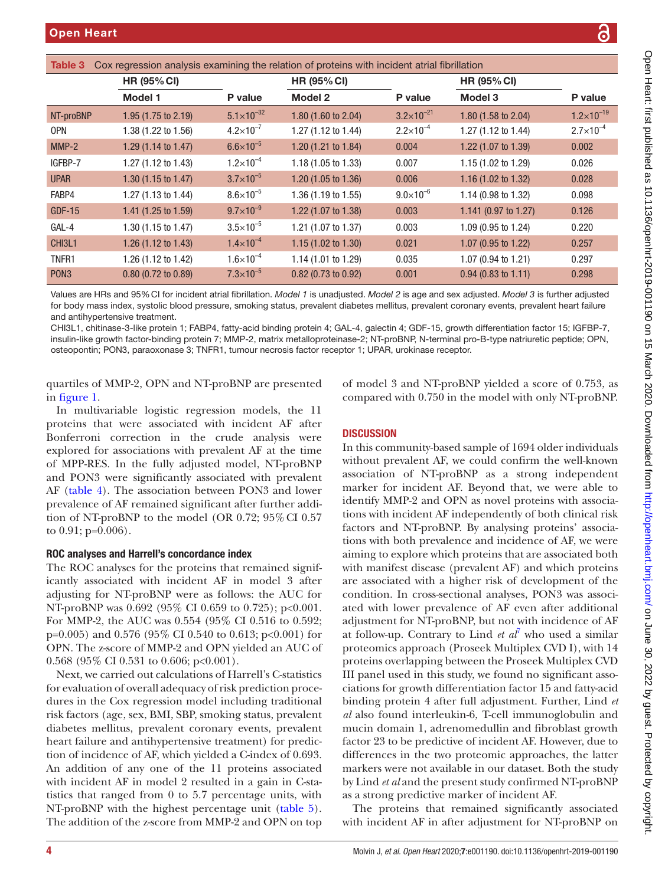<span id="page-3-0"></span>

| Cox regression analysis examining the relation of proteins with incident atrial fibrillation<br>Table 3 |                                |                       |                                |                      |                       |                      |
|---------------------------------------------------------------------------------------------------------|--------------------------------|-----------------------|--------------------------------|----------------------|-----------------------|----------------------|
|                                                                                                         | <b>HR (95% CI)</b>             |                       | <b>HR (95% CI)</b>             |                      | <b>HR (95% CI)</b>    |                      |
|                                                                                                         | Model 1                        | P value               | Model 2                        | P value              | Model 3               | P value              |
| NT-proBNP                                                                                               | 1.95 (1.75 to 2.19)            | $5.1 \times 10^{-32}$ | 1.80 (1.60 to 2.04)            | $3.2\times10^{-21}$  | 1.80 (1.58 to 2.04)   | $1.2\times10^{-19}$  |
| OPN                                                                                                     | 1.38 (1.22 to 1.56)            | $4.2\times10^{-7}$    | 1.27 (1.12 to 1.44)            | $2.2 \times 10^{-4}$ | 1.27 (1.12 to 1.44)   | $2.7 \times 10^{-4}$ |
| $MMP-2$                                                                                                 | 1.29 (1.14 to 1.47)            | $6.6 \times 10^{-5}$  | 1.20 (1.21 to 1.84)            | 0.004                | 1.22 (1.07 to 1.39)   | 0.002                |
| IGFBP-7                                                                                                 | 1.27 (1.12 to 1.43)            | $1.2 \times 10^{-4}$  | 1.18 (1.05 to 1.33)            | 0.007                | 1.15 (1.02 to 1.29)   | 0.026                |
| <b>UPAR</b>                                                                                             | 1.30 $(1.15 \text{ to } 1.47)$ | $3.7\times10^{-5}$    | 1.20(1.05 to 1.36)             | 0.006                | 1.16 (1.02 to 1.32)   | 0.028                |
| FABP4                                                                                                   | 1.27 (1.13 to 1.44)            | $8.6 \times 10^{-5}$  | 1.36 (1.19 to 1.55)            | $9.0\times10^{-6}$   | 1.14 (0.98 to 1.32)   | 0.098                |
| <b>GDF-15</b>                                                                                           | 1.41 (1.25 to 1.59)            | $9.7\times10^{-9}$    | 1.22 (1.07 to 1.38)            | 0.003                | 1.141 (0.97 to 1.27)  | 0.126                |
| GAL-4                                                                                                   | 1.30 (1.15 to 1.47)            | $3.5 \times 10^{-5}$  | 1.21 (1.07 to 1.37)            | 0.003                | 1.09 (0.95 to 1.24)   | 0.220                |
| CHI3L1                                                                                                  | 1.26 $(1.12 \text{ to } 1.43)$ | $1.4 \times 10^{-4}$  | 1.15 $(1.02 \text{ to } 1.30)$ | 0.021                | 1.07 (0.95 to 1.22)   | 0.257                |
| TNFR1                                                                                                   | 1.26 (1.12 to 1.42)            | $1.6 \times 10^{-4}$  | 1.14 (1.01 to 1.29)            | 0.035                | 1.07 (0.94 to 1.21)   | 0.297                |
| PON <sub>3</sub>                                                                                        | $0.80$ (0.72 to 0.89)          | $7.3 \times 10^{-5}$  | $0.82$ (0.73 to 0.92)          | 0.001                | $0.94$ (0.83 to 1.11) | 0.298                |

Values are HRs and 95%CI for incident atrial fibrillation. *Model 1* is unadjusted. *Model 2* is age and sex adjusted. *Model 3* is further adjusted for body mass index, systolic blood pressure, smoking status, prevalent diabetes mellitus, prevalent coronary events, prevalent heart failure and antihypertensive treatment.

CHI3L1, chitinase-3-like protein 1; FABP4, fatty-acid binding protein 4; GAL-4, galectin 4; GDF-15, growth differentiation factor 15; IGFBP-7, insulin-like growth factor-binding protein 7; MMP-2, matrix metalloproteinase-2; NT-proBNP, N-terminal pro-B-type natriuretic peptide; OPN, osteopontin; PON3, paraoxonase 3; TNFR1, tumour necrosis factor receptor 1; UPAR, urokinase receptor.

quartiles of MMP-2, OPN and NT-proBNP are presented in [figure](#page-4-0) 1.

In multivariable logistic regression models, the 11 proteins that were associated with incident AF after Bonferroni correction in the crude analysis were explored for associations with prevalent AF at the time of MPP-RES. In the fully adjusted model, NT-proBNP and PON3 were significantly associated with prevalent AF [\(table](#page-5-0) 4). The association between PON3 and lower prevalence of AF remained significant after further addition of NT-proBNP to the model (OR 0.72; 95% CI 0.57 to 0.91; p=0.006).

## ROC analyses and Harrell's concordance index

The ROC analyses for the proteins that remained significantly associated with incident AF in model 3 after adjusting for NT-proBNP were as follows: the AUC for NT-proBNP was 0.692 (95% CI 0.659 to 0.725); p<0.001. For MMP-2, the AUC was 0.554 (95% CI 0.516 to 0.592; p=0.005) and 0.576 (95% CI 0.540 to 0.613; p<0.001) for OPN. The z-score of MMP-2 and OPN yielded an AUC of 0.568 (95% CI 0.531 to 0.606; p<0.001).

Next, we carried out calculations of Harrell's C-statistics for evaluation of overall adequacy of risk prediction procedures in the Cox regression model including traditional risk factors (age, sex, BMI, SBP, smoking status, prevalent diabetes mellitus, prevalent coronary events, prevalent heart failure and antihypertensive treatment) for prediction of incidence of AF, which yielded a C-index of 0.693. An addition of any one of the 11 proteins associated with incident AF in model 2 resulted in a gain in C-statistics that ranged from 0 to 5.7 percentage units, with NT-proBNP with the highest percentage unit ([table](#page-5-1) 5). The addition of the z-score from MMP-2 and OPN on top

of model 3 and NT-proBNP yielded a score of 0.753, as compared with 0.750 in the model with only NT-proBNP.

# **DISCUSSION**

In this community-based sample of 1694 older individuals without prevalent AF, we could confirm the well-known association of NT-proBNP as a strong independent marker for incident AF. Beyond that, we were able to identify MMP-2 and OPN as novel proteins with associations with incident AF independently of both clinical risk factors and NT-proBNP. By analysing proteins' associations with both prevalence and incidence of AF, we were aiming to explore which proteins that are associated both with manifest disease (prevalent AF) and which proteins are associated with a higher risk of development of the condition. In cross-sectional analyses, PON3 was associated with lower prevalence of AF even after additional adjustment for NT-proBNP, but not with incidence of AF at follow-up. Contrary to Lind *et*  $a\bar{t}$  who used a similar proteomics approach (Proseek Multiplex CVD I), with 14 proteins overlapping between the Proseek Multiplex CVD III panel used in this study, we found no significant associations for growth differentiation factor 15 and fatty-acid binding protein 4 after full adjustment. Further, Lind *et al* also found interleukin-6, T-cell immunoglobulin and mucin domain 1, adrenomedullin and fibroblast growth factor 23 to be predictive of incident AF. However, due to differences in the two proteomic approaches, the latter markers were not available in our dataset. Both the study by Lind *et al* and the present study confirmed NT-proBNP as a strong predictive marker of incident AF.

The proteins that remained significantly associated with incident AF in after adjustment for NT-proBNP on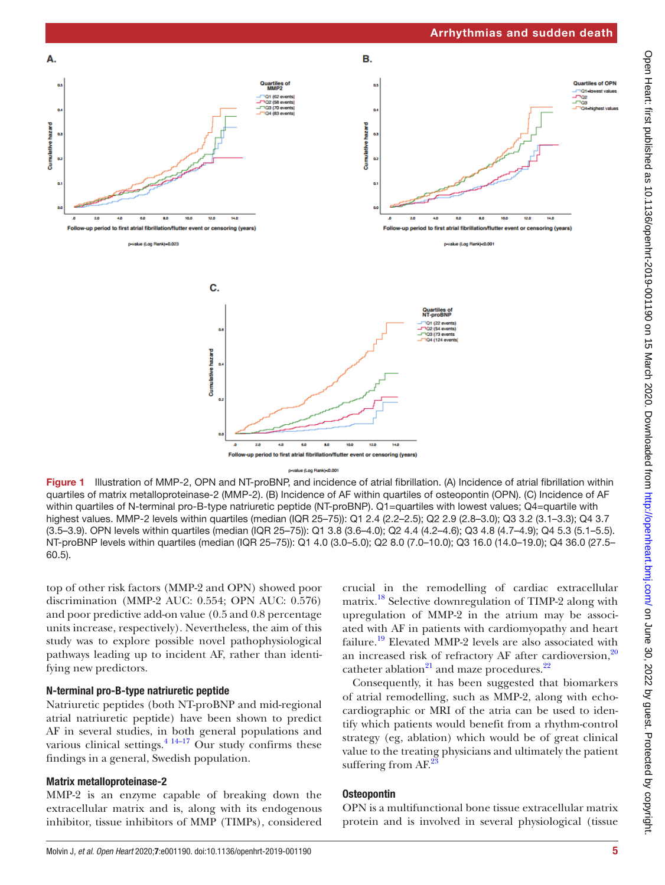

<span id="page-4-0"></span>Figure 1 Illustration of MMP-2, OPN and NT-proBNP, and incidence of atrial fibrillation. (A) Incidence of atrial fibrillation within quartiles of matrix metalloproteinase-2 (MMP-2). (B) Incidence of AF within quartiles of osteopontin (OPN). (C) Incidence of AF within quartiles of N-terminal pro-B-type natriuretic peptide (NT-proBNP). Q1=quartiles with lowest values; Q4=quartile with highest values. MMP-2 levels within quartiles (median (IQR 25–75)): Q1 2.4 (2.2–2.5); Q2 2.9 (2.8–3.0); Q3 3.2 (3.1–3.3); Q4 3.7 (3.5–3.9). OPN levels within quartiles (median (IQR 25–75)): Q1 3.8 (3.6–4.0); Q2 4.4 (4.2–4.6); Q3 4.8 (4.7–4.9); Q4 5.3 (5.1–5.5). NT-proBNP levels within quartiles (median (IQR 25–75)): Q1 4.0 (3.0–5.0); Q2 8.0 (7.0–10.0); Q3 16.0 (14.0–19.0); Q4 36.0 (27.5– 60.5).

top of other risk factors (MMP-2 and OPN) showed poor discrimination (MMP-2 AUC: 0.554; OPN AUC: 0.576) and poor predictive add-on value (0.5 and 0.8 percentage units increase, respectively). Nevertheless, the aim of this study was to explore possible novel pathophysiological pathways leading up to incident AF, rather than identifying new predictors.

## N-terminal pro-B-type natriuretic peptide

Natriuretic peptides (both NT-proBNP and mid-regional atrial natriuretic peptide) have been shown to predict AF in several studies, in both general populations and various clinical settings. $4 \frac{14-17}{2}$  Our study confirms these findings in a general, Swedish population.

## Matrix metalloproteinase-2

MMP-2 is an enzyme capable of breaking down the extracellular matrix and is, along with its endogenous inhibitor, tissue inhibitors of MMP (TIMPs), considered

crucial in the remodelling of cardiac extracellular matrix.<sup>18</sup> Selective downregulation of TIMP-2 along with upregulation of MMP-2 in the atrium may be associated with AF in patients with cardiomyopathy and heart failure.<sup>19</sup> Elevated MMP-2 levels are also associated with an increased risk of refractory AF after cardioversion, $20$ catheter ablation $^{21}$  and maze procedures.<sup>[22](#page-7-0)</sup>

Consequently, it has been suggested that biomarkers of atrial remodelling, such as MMP-2, along with echocardiographic or MRI of the atria can be used to identify which patients would benefit from a rhythm-control strategy (eg, ablation) which would be of great clinical value to the treating physicians and ultimately the patient suffering from AF.<sup>[23](#page-7-1)</sup>

## **Osteopontin**

OPN is a multifunctional bone tissue extracellular matrix protein and is involved in several physiological (tissue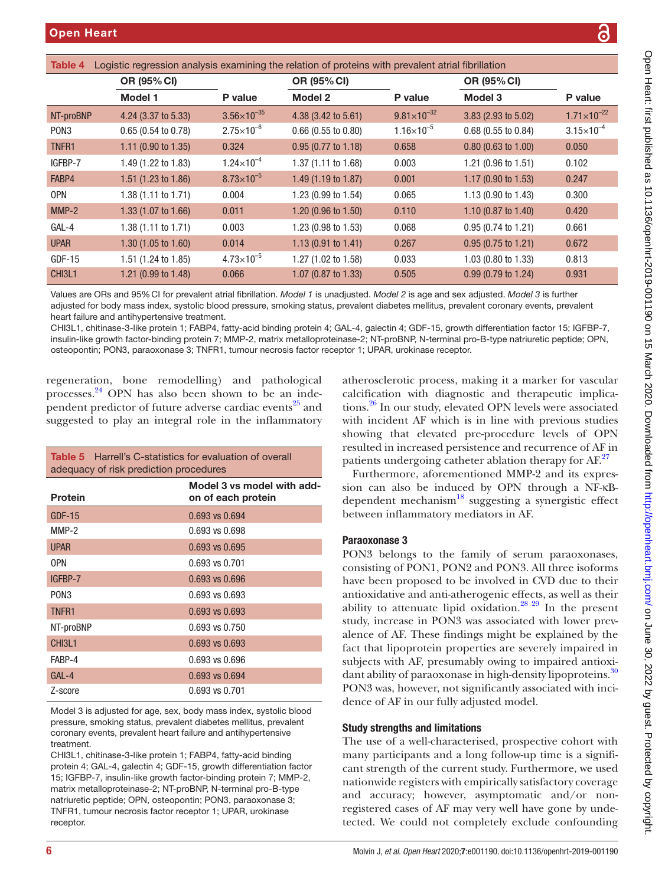<span id="page-5-0"></span>

| <b>IQNIC T</b><br>Lugistic regression analysis examining the relation of proteins with prevalent atrial indifficulti |                                |                       |                                |                      |                                |                        |
|----------------------------------------------------------------------------------------------------------------------|--------------------------------|-----------------------|--------------------------------|----------------------|--------------------------------|------------------------|
|                                                                                                                      | OR (95% CI)                    |                       | <b>OR (95% CI)</b>             |                      | OR (95% CI)                    |                        |
|                                                                                                                      | Model 1                        | P value               | Model 2                        | P value              | Model 3                        | P value                |
| NT-proBNP                                                                                                            | 4.24 (3.37 to 5.33)            | $3.56\times10^{-35}$  | 4.38 (3.42 to 5.61)            | $9.81\times10^{-32}$ | 3.83 (2.93 to 5.02)            | $1.71 \times 10^{-22}$ |
| PON <sub>3</sub>                                                                                                     | $0.65(0.54 \text{ to } 0.78)$  | $2.75\times10^{-6}$   | $0.66$ (0.55 to 0.80)          | $1.16\times10^{-5}$  | 0.68 (0.55 to 0.84)            | $3.15 \times 10^{-4}$  |
| TNFR <sub>1</sub>                                                                                                    | 1.11 (0.90 to 1.35)            | 0.324                 | $0.95(0.77 \text{ to } 1.18)$  | 0.658                | $0.80$ (0.63 to 1.00)          | 0.050                  |
| IGFBP-7                                                                                                              | 1.49 (1.22 to 1.83)            | $1.24\times10^{-4}$   | 1.37 (1.11 to 1.68)            | 0.003                | 1.21 (0.96 to 1.51)            | 0.102                  |
| FABP4                                                                                                                | 1.51 (1.23 to 1.86)            | $8.73\times10^{-5}$   | 1.49 (1.19 to 1.87)            | 0.001                | 1.17 (0.90 to 1.53)            | 0.247                  |
| <b>OPN</b>                                                                                                           | 1.38 (1.11 to 1.71)            | 0.004                 | 1.23 $(0.99 \text{ to } 1.54)$ | 0.065                | 1.13 (0.90 to 1.43)            | 0.300                  |
| $MMP-2$                                                                                                              | 1.33 $(1.07 \text{ to } 1.66)$ | 0.011                 | $1.20(0.96 \text{ to } 1.50)$  | 0.110                | 1.10 $(0.87 \text{ to } 1.40)$ | 0.420                  |
| GAL-4                                                                                                                | 1.38 (1.11 to 1.71)            | 0.003                 | 1.23 (0.98 to 1.53)            | 0.068                | $0.95(0.74 \text{ to } 1.21)$  | 0.661                  |
| <b>UPAR</b>                                                                                                          | $1.30(1.05 \text{ to } 1.60)$  | 0.014                 | $1.13(0.91 \text{ to } 1.41)$  | 0.267                | $0.95(0.75 \text{ to } 1.21)$  | 0.672                  |
| $GDF-15$                                                                                                             | 1.51 (1.24 to 1.85)            | $4.73 \times 10^{-5}$ | 1.27 (1.02 to 1.58)            | 0.033                | 1.03 (0.80 to 1.33)            | 0.813                  |
| CHI3L1                                                                                                               | 1.21 (0.99 to 1.48)            | 0.066                 | 1.07 (0.87 to 1.33)            | 0.505                | $0.99(0.79 \text{ to } 1.24)$  | 0.931                  |

Table 4 Logistic regression analysis examining the relation of proteins with prevalent atrial fibrillation

Values are ORs and 95%CI for prevalent atrial fibrillation. *Model 1* is unadjusted. *Model 2* is age and sex adjusted. *Model 3* is further adjusted for body mass index, systolic blood pressure, smoking status, prevalent diabetes mellitus, prevalent coronary events, prevalent heart failure and antihypertensive treatment.

CHI3L1, chitinase-3-like protein 1; FABP4, fatty-acid binding protein 4; GAL-4, galectin 4; GDF-15, growth differentiation factor 15; IGFBP-7, insulin-like growth factor-binding protein 7; MMP-2, matrix metalloproteinase-2; NT-proBNP, N-terminal pro-B-type natriuretic peptide; OPN, osteopontin; PON3, paraoxonase 3; TNFR1, tumour necrosis factor receptor 1; UPAR, urokinase receptor.

regeneration, bone remodelling) and pathological processes.[24](#page-7-2) OPN has also been shown to be an inde-pendent predictor of future adverse cardiac events<sup>[25](#page-7-3)</sup> and suggested to play an integral role in the inflammatory

<span id="page-5-1"></span>

| <b>Table 5</b> Harrell's C-statistics for evaluation of overall<br>adequacy of risk prediction procedures |                                                  |  |  |
|-----------------------------------------------------------------------------------------------------------|--------------------------------------------------|--|--|
| <b>Protein</b>                                                                                            | Model 3 vs model with add-<br>on of each protein |  |  |
| $GDF-15$                                                                                                  | 0.693 vs 0.694                                   |  |  |
| $MMP-2$                                                                                                   | 0.693 vs 0.698                                   |  |  |
| <b>UPAR</b>                                                                                               | 0.693 vs 0.695                                   |  |  |
| 0PN                                                                                                       | 0.693 vs 0.701                                   |  |  |
| IGFBP-7                                                                                                   | $0.693$ vs $0.696$                               |  |  |
| PON3                                                                                                      | 0.693 vs 0.693                                   |  |  |
| <b>TNFR1</b>                                                                                              | 0.693 vs 0.693                                   |  |  |
| NT-proBNP                                                                                                 | 0.693 vs 0.750                                   |  |  |
| CHI3L1                                                                                                    | 0.693 vs 0.693                                   |  |  |
| FABP-4                                                                                                    | 0.693 vs 0.696                                   |  |  |
| $GAI -4$                                                                                                  | 0.693 vs 0.694                                   |  |  |
| Z-score                                                                                                   | 0.693 vs 0.701                                   |  |  |

Model 3 is adjusted for age, sex, body mass index, systolic blood pressure, smoking status, prevalent diabetes mellitus, prevalent coronary events, prevalent heart failure and antihypertensive treatment.

CHI3L1, chitinase-3-like protein 1; FABP4, fatty-acid binding protein 4; GAL-4, galectin 4; GDF-15, growth differentiation factor 15; IGFBP-7, insulin-like growth factor-binding protein 7; MMP-2, matrix metalloproteinase-2; NT-proBNP, N-terminal pro-B-type natriuretic peptide; OPN, osteopontin; PON3, paraoxonase 3; TNFR1, tumour necrosis factor receptor 1; UPAR, urokinase receptor.

atherosclerotic process, making it a marker for vascular calcification with diagnostic and therapeutic implications.[26](#page-7-4) In our study, elevated OPN levels were associated with incident AF which is in line with previous studies showing that elevated pre-procedure levels of OPN resulted in increased persistence and recurrence of AF in patients undergoing catheter ablation therapy for AF.<sup>[27](#page-7-5)</sup>

Furthermore, aforementioned MMP-2 and its expression can also be induced by OPN through a NF-κBdependent mechanism $^{18}$  suggesting a synergistic effect between inflammatory mediators in AF.

# Paraoxonase 3

PON3 belongs to the family of serum paraoxonases, consisting of PON1, PON2 and PON3. All three isoforms have been proposed to be involved in CVD due to their antioxidative and anti-atherogenic effects, as well as their ability to attenuate lipid oxidation.<sup>28</sup> <sup>29</sup> In the present study, increase in PON3 was associated with lower prevalence of AF. These findings might be explained by the fact that lipoprotein properties are severely impaired in subjects with AF, presumably owing to impaired antioxi-dant ability of paraoxonase in high-density lipoproteins.<sup>[30](#page-7-7)</sup> PON3 was, however, not significantly associated with incidence of AF in our fully adjusted model.

# Study strengths and limitations

The use of a well-characterised, prospective cohort with many participants and a long follow-up time is a significant strength of the current study. Furthermore, we used nationwide registers with empirically satisfactory coverage and accuracy; however, asymptomatic and/or nonregistered cases of AF may very well have gone by undetected. We could not completely exclude confounding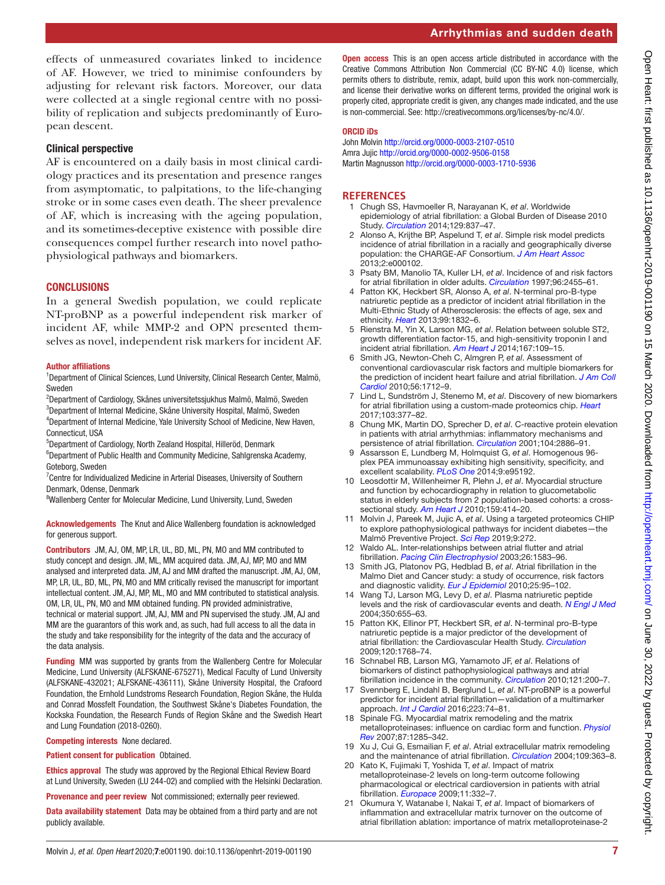effects of unmeasured covariates linked to incidence of AF. However, we tried to minimise confounders by adjusting for relevant risk factors. Moreover, our data were collected at a single regional centre with no possibility of replication and subjects predominantly of European descent.

#### Clinical perspective

AF is encountered on a daily basis in most clinical cardiology practices and its presentation and presence ranges from asymptomatic, to palpitations, to the life-changing stroke or in some cases even death. The sheer prevalence of AF, which is increasing with the ageing population, and its sometimes-deceptive existence with possible dire consequences compel further research into novel pathophysiological pathways and biomarkers.

#### **CONCLUSIONS**

In a general Swedish population, we could replicate NT-proBNP as a powerful independent risk marker of incident AF, while MMP-2 and OPN presented themselves as novel, independent risk markers for incident AF.

#### Author affiliations

<sup>1</sup>Department of Clinical Sciences, Lund University, Clinical Research Center, Malmö, Sweden

 $^{2}$ Department of Cardiology, Skånes universitetssjukhus Malmö, Malmö, Sweden 3 Department of Internal Medicine, Skåne University Hospital, Malmö, Sweden

<sup>4</sup>Department of Internal Medicine, Yale University School of Medicine, New Haven, Connecticut, USA

5 Department of Cardiology, North Zealand Hospital, Hilleröd, Denmark

<sup>6</sup>Department of Public Health and Community Medicine, Sahlgrenska Academy, Goteborg, Sweden

<sup>7</sup> Centre for Individualized Medicine in Arterial Diseases, University of Southern Denmark, Odense, Denmark

<sup>8</sup>Wallenberg Center for Molecular Medicine, Lund University, Lund, Sweden

Acknowledgements The Knut and Alice Wallenberg foundation is acknowledged for generous support.

Contributors JM, AJ, OM, MP, LR, UL, BD, ML, PN, MO and MM contributed to study concept and design. JM, ML, MM acquired data. JM, AJ, MP, MO and MM analysed and interpreted data. JM, AJ and MM drafted the manuscript. JM, AJ, OM, MP, LR, UL, BD, ML, PN, MO and MM critically revised the manuscript for important intellectual content. JM, AJ, MP, ML, MO and MM contributed to statistical analysis. OM, LR, UL, PN, MO and MM obtained funding. PN provided administrative, technical or material support. JM, AJ, MM and PN supervised the study. JM, AJ and MM are the guarantors of this work and, as such, had full access to all the data in the study and take responsibility for the integrity of the data and the accuracy of the data analysis.

Funding MM was supported by grants from the Wallenberg Centre for Molecular Medicine, Lund University (ALFSKANE-675271), Medical Faculty of Lund University (ALFSKANE-432021; ALFSKANE-436111), Skåne University Hospital, the Crafoord Foundation, the Ernhold Lundstroms Research Foundation, Region Skåne, the Hulda and Conrad Mossfelt Foundation, the Southwest Skåne's Diabetes Foundation, the Kockska Foundation, the Research Funds of Region Skåne and the Swedish Heart and Lung Foundation (2018-0260).

Competing interests None declared.

Patient consent for publication Obtained.

Ethics approval The study was approved by the Regional Ethical Review Board at Lund University, Sweden (LU 244-02) and complied with the Helsinki Declaration.

Provenance and peer review Not commissioned; externally peer reviewed.

Data availability statement Data may be obtained from a third party and are not publicly available.

Open access This is an open access article distributed in accordance with the Creative Commons Attribution Non Commercial (CC BY-NC 4.0) license, which permits others to distribute, remix, adapt, build upon this work non-commercially, and license their derivative works on different terms, provided the original work is properly cited, appropriate credit is given, any changes made indicated, and the use is non-commercial. See: [http://creativecommons.org/licenses/by-nc/4.0/.](http://creativecommons.org/licenses/by-nc/4.0/)

#### ORCID iDs

John Molvin<http://orcid.org/0000-0003-2107-0510> Amra Jujic<http://orcid.org/0000-0002-9506-0158> Martin Magnusson <http://orcid.org/0000-0003-1710-5936>

#### **References**

- <span id="page-6-0"></span>1 Chugh SS, Havmoeller R, Narayanan K, *et al*. Worldwide epidemiology of atrial fibrillation: a Global Burden of Disease 2010 Study. *[Circulation](http://dx.doi.org/10.1161/CIRCULATIONAHA.113.005119)* 2014;129:837–47.
- <span id="page-6-1"></span>2 Alonso A, Krijthe BP, Aspelund T, *et al*. Simple risk model predicts incidence of atrial fibrillation in a racially and geographically diverse population: the CHARGE-AF Consortium. *[J Am Heart Assoc](http://dx.doi.org/10.1161/JAHA.112.000102)* 2013;2:e000102.
- 3 Psaty BM, Manolio TA, Kuller LH, *et al*. Incidence of and risk factors for atrial fibrillation in older adults. *[Circulation](http://dx.doi.org/10.1161/01.CIR.96.7.2455)* 1997;96:2455–61.
- <span id="page-6-2"></span>4 Patton KK, Heckbert SR, Alonso A, *et al*. N-terminal pro-B-type natriuretic peptide as a predictor of incident atrial fibrillation in the Multi-Ethnic Study of Atherosclerosis: the effects of age, sex and ethnicity. *[Heart](http://dx.doi.org/10.1136/heartjnl-2013-304724)* 2013;99:1832–6.
- 5 Rienstra M, Yin X, Larson MG, *et al*. Relation between soluble ST2, growth differentiation factor-15, and high-sensitivity troponin I and incident atrial fibrillation. *[Am Heart J](http://dx.doi.org/10.1016/j.ahj.2013.10.003)* 2014;167:109–15.
- 6 Smith JG, Newton-Cheh C, Almgren P, *et al*. Assessment of conventional cardiovascular risk factors and multiple biomarkers for the prediction of incident heart failure and atrial fibrillation. *[J Am Coll](http://dx.doi.org/10.1016/j.jacc.2010.05.049)  [Cardiol](http://dx.doi.org/10.1016/j.jacc.2010.05.049)* 2010;56:1712–9.
- <span id="page-6-5"></span>7 Lind L, Sundström J, Stenemo M, *et al*. Discovery of new biomarkers for atrial fibrillation using a custom-made proteomics chip. *[Heart](http://dx.doi.org/10.1136/heartjnl-2016-309764)* 2017;103:377–82.
- <span id="page-6-3"></span>8 Chung MK, Martin DO, Sprecher D, *et al*. C-reactive protein elevation in patients with atrial arrhythmias: inflammatory mechanisms and persistence of atrial fibrillation. *[Circulation](http://dx.doi.org/10.1161/hc4901.101760)* 2001;104:2886–91.
- <span id="page-6-4"></span>9 Assarsson E, Lundberg M, Holmquist G, *et al*. Homogenous 96 plex PEA immunoassay exhibiting high sensitivity, specificity, and excellent scalability. *[PLoS One](http://dx.doi.org/10.1371/journal.pone.0095192)* 2014;9:e95192.
- <span id="page-6-6"></span>10 Leosdottir M, Willenheimer R, Plehn J, *et al*. Myocardial structure and function by echocardiography in relation to glucometabolic status in elderly subjects from 2 population-based cohorts: a crosssectional study. *[Am Heart J](http://dx.doi.org/10.1016/j.ahj.2009.12.028)* 2010;159:414–20.
- 11 Molvin J, Pareek M, Jujic A, *et al*. Using a targeted proteomics CHIP to explore pathophysiological pathways for incident diabetes—the Malmö Preventive Project. *[Sci Rep](http://dx.doi.org/10.1038/s41598-018-36512-y)* 2019;9:272.
- <span id="page-6-7"></span>12 Waldo AL. Inter-relationships between atrial flutter and atrial fibrillation. *[Pacing Clin Electrophysiol](http://dx.doi.org/10.1046/j.1460-9592.2003.t01-1-00236.x)* 2003;26:1583–96.
- <span id="page-6-8"></span>13 Smith JG, Platonov PG, Hedblad B, *et al*. Atrial fibrillation in the Malmo Diet and Cancer study: a study of occurrence, risk factors and diagnostic validity. *[Eur J Epidemiol](http://dx.doi.org/10.1007/s10654-009-9404-1)* 2010;25:95–102.
- 14 Wang TJ, Larson MG, Levy D, *et al*. Plasma natriuretic peptide levels and the risk of cardiovascular events and death. *[N Engl J Med](http://dx.doi.org/10.1056/NEJMoa031994)* 2004;350:655–63.
- 15 Patton KK, Ellinor PT, Heckbert SR, *et al*. N-terminal pro-B-type natriuretic peptide is a major predictor of the development of atrial fibrillation: the Cardiovascular Health Study. *[Circulation](http://dx.doi.org/10.1161/CIRCULATIONAHA.109.873265)* 2009;120:1768–74.
- 16 Schnabel RB, Larson MG, Yamamoto JF, *et al*. Relations of biomarkers of distinct pathophysiological pathways and atrial fibrillation incidence in the community. *[Circulation](http://dx.doi.org/10.1161/CIRCULATIONAHA.109.882241)* 2010;121:200–7.
- 17 Svennberg E, Lindahl B, Berglund L, *et al*. NT-proBNP is a powerful predictor for incident atrial fibrillation—validation of a multimarker approach. *[Int J Cardiol](http://dx.doi.org/10.1016/j.ijcard.2016.08.001)* 2016;223:74–81.
- <span id="page-6-9"></span>18 Spinale FG. Myocardial matrix remodeling and the matrix metalloproteinases: influence on cardiac form and function. *[Physiol](http://dx.doi.org/10.1152/physrev.00012.2007)  [Rev](http://dx.doi.org/10.1152/physrev.00012.2007)* 2007;87:1285–342.
- <span id="page-6-10"></span>19 Xu J, Cui G, Esmailian F, *et al*. Atrial extracellular matrix remodeling and the maintenance of atrial fibrillation. *[Circulation](http://dx.doi.org/10.1161/01.CIR.0000109495.02213.52)* 2004;109:363–8.
- <span id="page-6-11"></span>20 Kato K, Fujimaki T, Yoshida T, *et al*. Impact of matrix metalloproteinase-2 levels on long-term outcome following pharmacological or electrical cardioversion in patients with atrial fibrillation. *[Europace](http://dx.doi.org/10.1093/europace/eun389)* 2009;11:332–7.
- <span id="page-6-12"></span>21 Okumura Y, Watanabe I, Nakai T, *et al*. Impact of biomarkers of inflammation and extracellular matrix turnover on the outcome of atrial fibrillation ablation: importance of matrix metalloproteinase-2